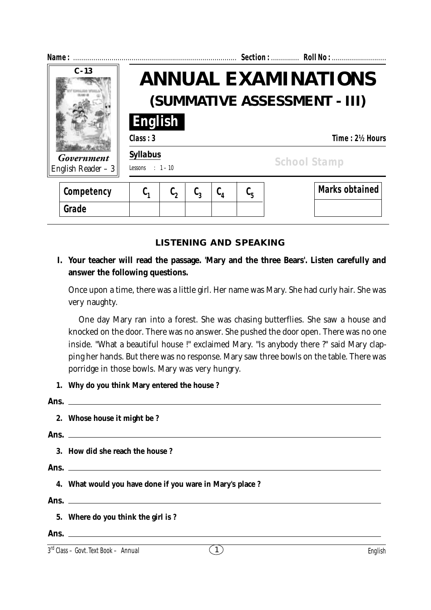| Name:                             |                                     |                                                            |  |                                       |                               |  | Section:  Roll No :   |  |  |
|-----------------------------------|-------------------------------------|------------------------------------------------------------|--|---------------------------------------|-------------------------------|--|-----------------------|--|--|
| $C - 13$                          |                                     | <b>ANNUAL EXAMINATIONS</b><br>(SUMMATIVE ASSESSMENT - III) |  |                                       |                               |  |                       |  |  |
|                                   | English<br>Class: 3                 |                                                            |  |                                       |                               |  | Time: 2½ Hours        |  |  |
| Government<br>English Reader $-3$ | <b>Syllabus</b><br>Lessons : $1-10$ |                                                            |  |                                       |                               |  | <b>School Stamp</b>   |  |  |
| Competency                        |                                     |                                                            |  | $\mathfrak{c}_{\scriptscriptstyle 4}$ | $\mathfrak{c}_{\mathfrak{s}}$ |  | <b>Marks obtained</b> |  |  |

# **LISTENING AND SPEAKING**

# **I. Your teacher will read the passage. 'Mary and the three Bears'. Listen carefully and answer the following questions.**

Once upon a time, there was a little girl. Her name was Mary. She had curly hair. She was very naughty.

One day Mary ran into a forest. She was chasing butterflies. She saw a house and knocked on the door. There was no answer. She pushed the door open. There was no one inside. "What a beautiful house !" exclaimed Mary. "Is anybody there ?" said Mary clapping her hands. But there was no response. Mary saw three bowls on the table. There was porridge in those bowls. Mary was very hungry.

**1. Why do you think Mary entered the house ?**

| 2. Whose house it might be ?                             |
|----------------------------------------------------------|
| Ans. $\qquad \qquad$                                     |
| 3. How did she reach the house?                          |
| Ans. $\qquad \qquad$                                     |
| 4. What would you have done if you ware in Mary's place? |
|                                                          |
| 5. Where do you think the girl is?                       |
|                                                          |

**Grade**

 $3<sup>rd</sup> Class - Govt. Text Book - Annual$  (1)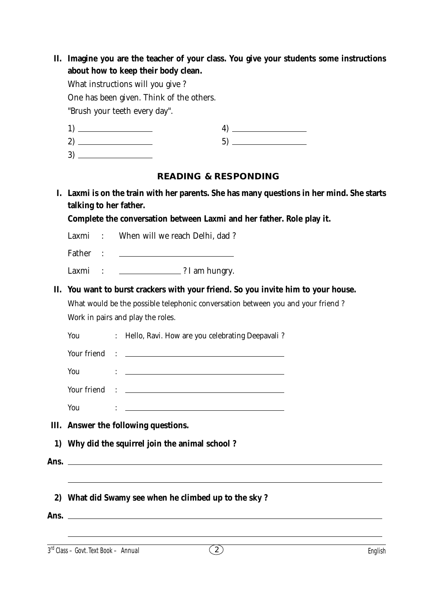|                        | What instructions will you give?                                                                                      |
|------------------------|-----------------------------------------------------------------------------------------------------------------------|
|                        | One has been given. Think of the others.                                                                              |
|                        | "Brush your teeth every day".                                                                                         |
|                        |                                                                                                                       |
|                        |                                                                                                                       |
|                        |                                                                                                                       |
|                        | <b>READING &amp; RESPONDING</b>                                                                                       |
|                        | I. Laxmi is on the train with her parents. She has many questions in her mind. She starts                             |
| talking to her father. |                                                                                                                       |
|                        | Complete the conversation between Laxmi and her father. Role play it.                                                 |
| Laxmi:                 | When will we reach Delhi, dad?                                                                                        |
| Father :               | <u> 1989 - John Stein, Amerikaansk politiker (</u>                                                                    |
| Laxmi<br>$\sim$ 1.     | 2 I am hungry.                                                                                                        |
|                        | II. You want to burst crackers with your friend. So you invite him to your house.                                     |
|                        | What would be the possible telephonic conversation between you and your friend?                                       |
|                        |                                                                                                                       |
|                        |                                                                                                                       |
|                        | Work in pairs and play the roles.                                                                                     |
| You                    | : Hello, Ravi. How are you celebrating Deepavali?                                                                     |
|                        |                                                                                                                       |
| You                    | <u> 1980 - Johann Barn, fransk politik fotograf (d. 1980)</u>                                                         |
|                        |                                                                                                                       |
| You                    | <u> 1989 - Johann Barn, mars ann an t-Amhain Aonaich an t-Aonaich an t-Aonaich an t-Aonaich an t-Aonaich an t-Aon</u> |
|                        | III. Answer the following questions.                                                                                  |
| $\bf{1}$               | Why did the squirrel join the animal school?                                                                          |
|                        |                                                                                                                       |
| Ans.                   | <u> 1980 - Johann Barbara, martxa alemaniar argametar a martxa a shekara a shekara a shekara a shekara a shekara</u>  |
|                        | ,我们也不会有什么。""我们的人,我们也不会有什么?""我们的人,我们也不会有什么?""我们的人,我们也不会有什么?""我们的人,我们也不会有什么?""我们的人                                      |

 $3<sup>rd</sup> Class - Govt. Text Book - Annual$  English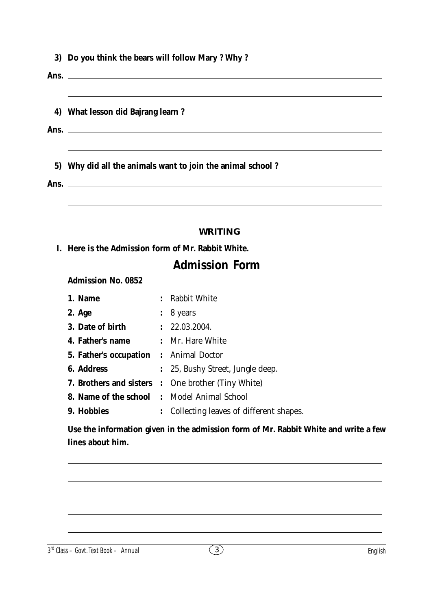| 3) Do you think the bears will follow Mary ? Why ? |  |  |  |  |  |
|----------------------------------------------------|--|--|--|--|--|
|                                                    |  |  |  |  |  |

**Ans.**

|  |  | 4) What lesson did Bajrang learn? |  |
|--|--|-----------------------------------|--|
|  |  |                                   |  |

**Ans.**

**5) Why did all the animals want to join the animal school ?**

**Ans.**

### **WRITING**

**I. Here is the Admission form of Mr. Rabbit White.**

# **Admission Form**

**Admission No. 0852**

| 1. Name           |  | : Rabbit White                                            |
|-------------------|--|-----------------------------------------------------------|
| 2. Age            |  | $\colon$ 8 years                                          |
| 3. Date of birth  |  | : 22.03.2004.                                             |
| 4. Father's name  |  | : Mr. Hare White                                          |
|                   |  | <b>5. Father's occupation :</b> Animal Doctor             |
| <b>6.</b> Address |  | : 25, Bushy Street, Jungle deep.                          |
|                   |  | <b>7. Brothers and sisters :</b> One brother (Tiny White) |
|                   |  | <b>8. Name of the school</b> : Model Animal School        |
| 9. Hobbies        |  | : Collecting leaves of different shapes.                  |

**Use the information given in the admission form of Mr. Rabbit White and write a few lines about him.**

3 3 rd Class – Govt. Text Book – **Annual** English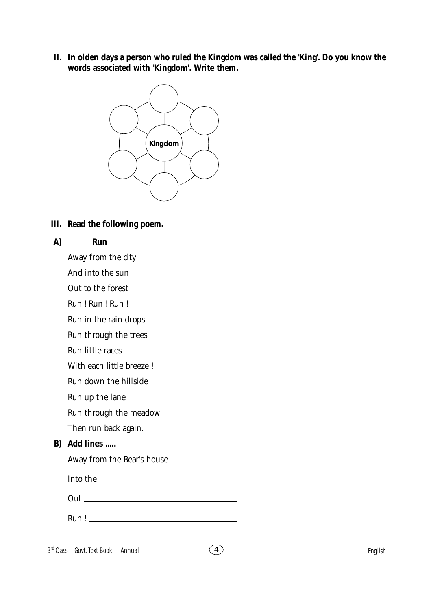**II. In olden days a person who ruled the Kingdom was called the 'King'. Do you know the words associated with 'Kingdom'. Write them.**



**III. Read the following poem.**

### **A) Run**

Away from the city

And into the sun

Out to the forest

Run ! Run ! Run !

Run in the rain drops

Run through the trees

Run little races

With each little breeze !

Run down the hillside

Run up the lane

Run through the meadow

Then run back again.

## **B) Add lines .....**

Away from the Bear's house

| Into the |  |
|----------|--|
|          |  |

| Out |  |  |  |
|-----|--|--|--|
|     |  |  |  |

Run !

 $3<sup>rd</sup> Class - Govt. Text Book - Annual$  English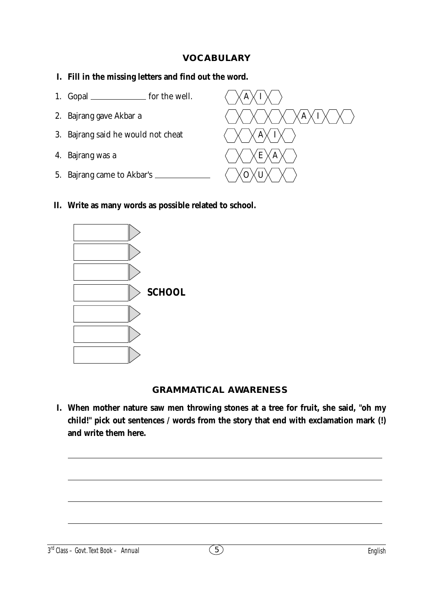## **VOCABULARY**

#### **I. Fill in the missing letters and find out the word.**

- 1. Gopal \_\_\_\_\_\_\_\_\_\_\_\_\_\_\_ for the well.  $\sqrt{\mathbf{A}}\times\mathbf{I}$
- 
- 3. Bajrang said he would not cheat
- 4. Bajrang was a
- 5. Bajrang came to Akbar's



#### **II. Write as many words as possible related to school.**



#### **GRAMMATICAL AWARENESS**

**I. When mother nature saw men throwing stones at a tree for fruit, she said, "oh my child!" pick out sentences / words from the story that end with exclamation mark (!) and write them here.**